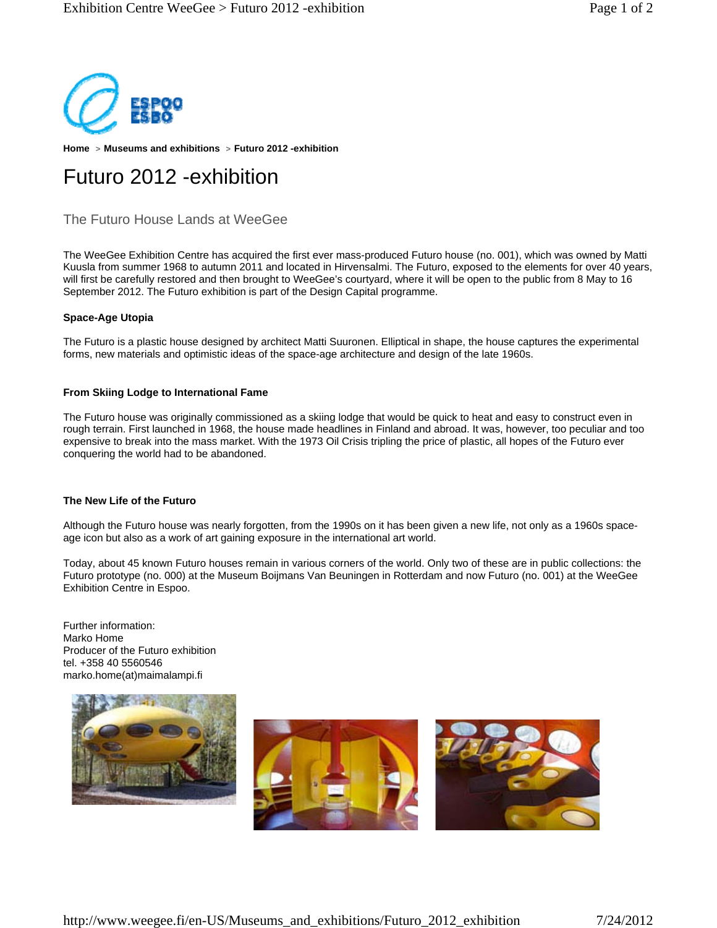

**Home > Museums and exhibitions > Futuro 2012 -exhibition** 

# Futuro 2012 -exhibition

## The Futuro House Lands at WeeGee

The WeeGee Exhibition Centre has acquired the first ever mass-produced Futuro house (no. 001), which was owned by Matti Kuusla from summer 1968 to autumn 2011 and located in Hirvensalmi. The Futuro, exposed to the elements for over 40 years, will first be carefully restored and then brought to WeeGee's courtyard, where it will be open to the public from 8 May to 16 September 2012. The Futuro exhibition is part of the Design Capital programme.

### **Space-Age Utopia**

The Futuro is a plastic house designed by architect Matti Suuronen. Elliptical in shape, the house captures the experimental forms, new materials and optimistic ideas of the space-age architecture and design of the late 1960s.

#### **From Skiing Lodge to International Fame**

The Futuro house was originally commissioned as a skiing lodge that would be quick to heat and easy to construct even in rough terrain. First launched in 1968, the house made headlines in Finland and abroad. It was, however, too peculiar and too expensive to break into the mass market. With the 1973 Oil Crisis tripling the price of plastic, all hopes of the Futuro ever conquering the world had to be abandoned.

#### **The New Life of the Futuro**

Although the Futuro house was nearly forgotten, from the 1990s on it has been given a new life, not only as a 1960s spaceage icon but also as a work of art gaining exposure in the international art world.

Today, about 45 known Futuro houses remain in various corners of the world. Only two of these are in public collections: the Futuro prototype (no. 000) at the Museum Boijmans Van Beuningen in Rotterdam and now Futuro (no. 001) at the WeeGee Exhibition Centre in Espoo.

Further information: Marko Home Producer of the Futuro exhibition tel. +358 40 5560546 marko.home(at)maimalampi.fi